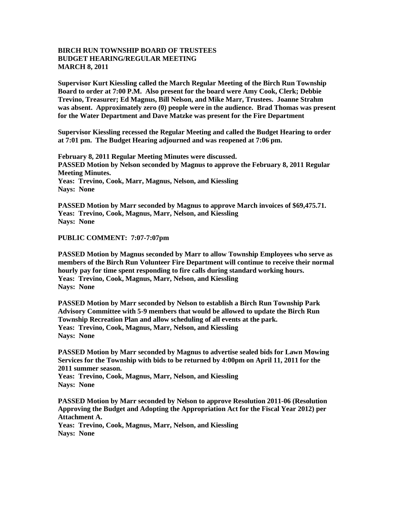## **BIRCH RUN TOWNSHIP BOARD OF TRUSTEES BUDGET HEARING/REGULAR MEETING MARCH 8, 2011**

**Supervisor Kurt Kiessling called the March Regular Meeting of the Birch Run Township Board to order at 7:00 P.M. Also present for the board were Amy Cook, Clerk; Debbie Trevino, Treasurer; Ed Magnus, Bill Nelson, and Mike Marr, Trustees. Joanne Strahm was absent. Approximately zero (0) people were in the audience. Brad Thomas was present for the Water Department and Dave Matzke was present for the Fire Department**

**Supervisor Kiessling recessed the Regular Meeting and called the Budget Hearing to order at 7:01 pm. The Budget Hearing adjourned and was reopened at 7:06 pm.**

**February 8, 2011 Regular Meeting Minutes were discussed. PASSED Motion by Nelson seconded by Magnus to approve the February 8, 2011 Regular Meeting Minutes. Yeas: Trevino, Cook, Marr, Magnus, Nelson, and Kiessling Nays: None** 

**PASSED Motion by Marr seconded by Magnus to approve March invoices of \$69,475.71. Yeas: Trevino, Cook, Magnus, Marr, Nelson, and Kiessling Nays: None** 

**PUBLIC COMMENT: 7:07-7:07pm**

**PASSED Motion by Magnus seconded by Marr to allow Township Employees who serve as members of the Birch Run Volunteer Fire Department will continue to receive their normal hourly pay for time spent responding to fire calls during standard working hours. Yeas: Trevino, Cook, Magnus, Marr, Nelson, and Kiessling Nays: None**

**PASSED Motion by Marr seconded by Nelson to establish a Birch Run Township Park Advisory Committee with 5-9 members that would be allowed to update the Birch Run Township Recreation Plan and allow scheduling of all events at the park. Yeas: Trevino, Cook, Magnus, Marr, Nelson, and Kiessling Nays: None** 

**PASSED Motion by Marr seconded by Magnus to advertise sealed bids for Lawn Mowing Services for the Township with bids to be returned by 4:00pm on April 11, 2011 for the 2011 summer season.** 

**Yeas: Trevino, Cook, Magnus, Marr, Nelson, and Kiessling Nays: None**

**PASSED Motion by Marr seconded by Nelson to approve Resolution 2011-06 (Resolution Approving the Budget and Adopting the Appropriation Act for the Fiscal Year 2012) per Attachment A.**

**Yeas: Trevino, Cook, Magnus, Marr, Nelson, and Kiessling Nays: None**